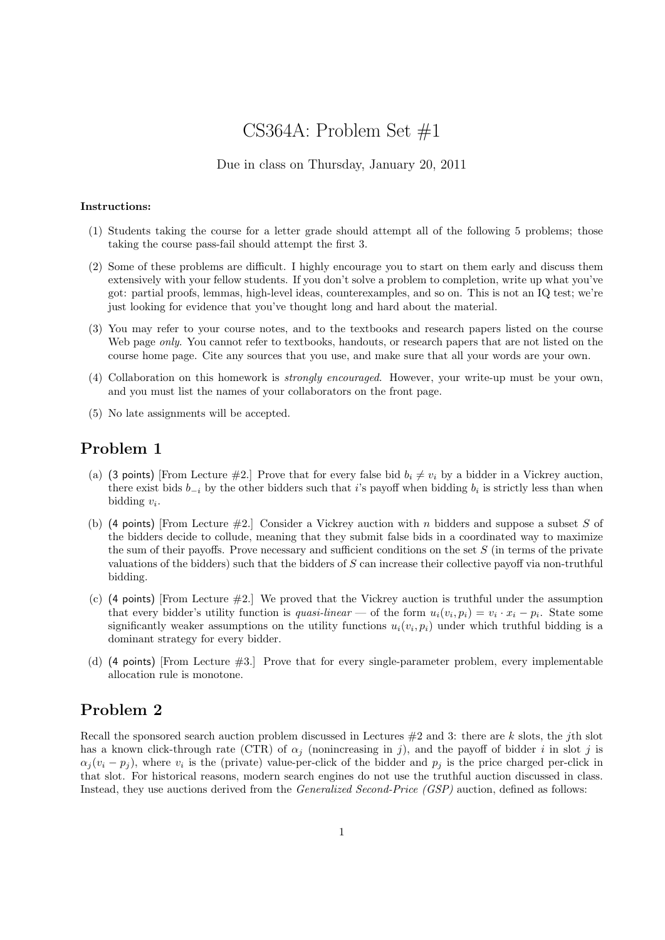# CS364A: Problem Set #1

#### Due in class on Thursday, January 20, 2011

#### Instructions:

- (1) Students taking the course for a letter grade should attempt all of the following 5 problems; those taking the course pass-fail should attempt the first 3.
- (2) Some of these problems are difficult. I highly encourage you to start on them early and discuss them extensively with your fellow students. If you don't solve a problem to completion, write up what you've got: partial proofs, lemmas, high-level ideas, counterexamples, and so on. This is not an IQ test; we're just looking for evidence that you've thought long and hard about the material.
- (3) You may refer to your course notes, and to the textbooks and research papers listed on the course Web page *only*. You cannot refer to textbooks, handouts, or research papers that are not listed on the course home page. Cite any sources that you use, and make sure that all your words are your own.
- (4) Collaboration on this homework is strongly encouraged. However, your write-up must be your own, and you must list the names of your collaborators on the front page.
- (5) No late assignments will be accepted.

### Problem 1

- (a) (3 points) [From Lecture #2.] Prove that for every false bid  $b_i \neq v_i$  by a bidder in a Vickrey auction, there exist bids  $b_{-i}$  by the other bidders such that i's payoff when bidding  $b_i$  is strictly less than when bidding  $v_i$ .
- (b) (4 points) [From Lecture  $\#2$ .] Consider a Vickrey auction with n bidders and suppose a subset S of the bidders decide to collude, meaning that they submit false bids in a coordinated way to maximize the sum of their payoffs. Prove necessary and sufficient conditions on the set  $S$  (in terms of the private valuations of the bidders) such that the bidders of  $S$  can increase their collective payoff via non-truthful bidding.
- (c) (4 points) [From Lecture #2.] We proved that the Vickrey auction is truthful under the assumption that every bidder's utility function is *quasi-linear* — of the form  $u_i(v_i, p_i) = v_i \cdot x_i - p_i$ . State some significantly weaker assumptions on the utility functions  $u_i(v_i, p_i)$  under which truthful bidding is a dominant strategy for every bidder.
- (d) (4 points) [From Lecture #3.] Prove that for every single-parameter problem, every implementable allocation rule is monotone.

# Problem 2

Recall the sponsored search auction problem discussed in Lectures  $#2$  and 3: there are k slots, the jth slot has a known click-through rate (CTR) of  $\alpha_j$  (nonincreasing in j), and the payoff of bidder i in slot j is  $\alpha_j(v_i - p_j)$ , where  $v_i$  is the (private) value-per-click of the bidder and  $p_j$  is the price charged per-click in that slot. For historical reasons, modern search engines do not use the truthful auction discussed in class. Instead, they use auctions derived from the Generalized Second-Price (GSP) auction, defined as follows: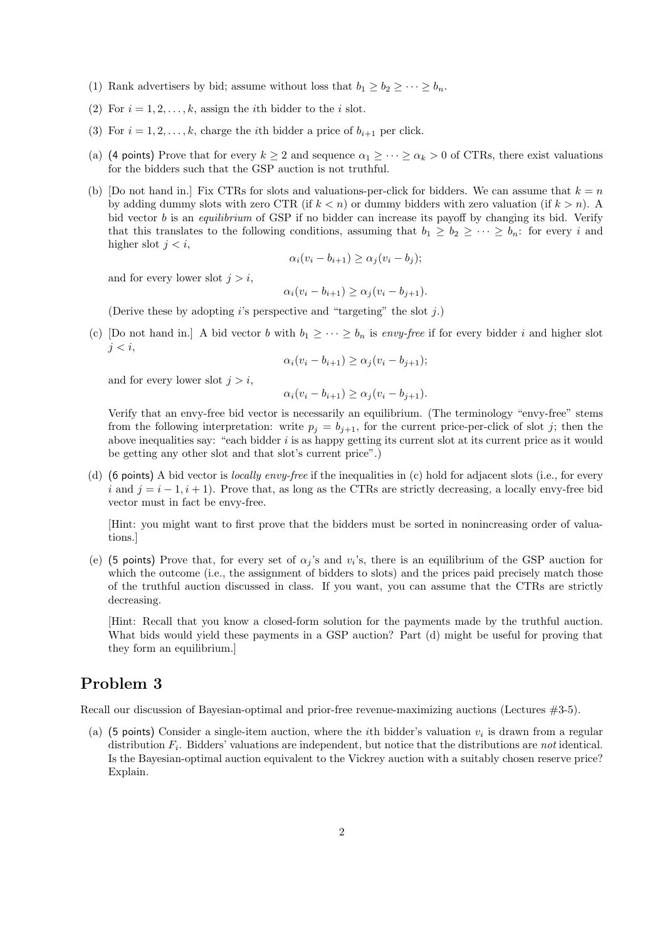- (1) Rank advertisers by bid; assume without loss that  $b_1 \geq b_2 \geq \cdots \geq b_n$ .
- (2) For  $i = 1, 2, \ldots, k$ , assign the *i*th bidder to the *i* slot.
- (3) For  $i = 1, 2, \ldots, k$ , charge the *i*th bidder a price of  $b_{i+1}$  per click.
- (a) (4 points) Prove that for every  $k \ge 2$  and sequence  $\alpha_1 \ge \cdots \ge \alpha_k > 0$  of CTRs, there exist valuations for the bidders such that the GSP auction is not truthful.
- (b) [Do not hand in.] Fix CTRs for slots and valuations-per-click for bidders. We can assume that  $k = n$ by adding dummy slots with zero CTR (if  $k < n$ ) or dummy bidders with zero valuation (if  $k > n$ ). A bid vector *b* is an *equilibrium* of GSP if no bidder can increase its payoff by changing its bid. Verify that this translates to the following conditions, assuming that  $b_1 \geq b_2 \geq \cdots \geq b_n$ : for every i and higher slot  $j < i$ ,

$$
\alpha_i(v_i - b_{i+1}) \geq \alpha_j(v_i - b_j);
$$

and for every lower slot  $j > i$ ,

$$
\alpha_i(v_i - b_{i+1}) \ge \alpha_j(v_i - b_{j+1}).
$$

(Derive these by adopting  $i$ 's perspective and "targeting" the slot  $j$ .)

(c) [Do not hand in.] A bid vector b with  $b_1 \geq \cdots \geq b_n$  is envy-free if for every bidder i and higher slot  $j < i$ ,

$$
\alpha_i(v_i - b_{i+1}) \ge \alpha_j(v_i - b_{j+1});
$$

and for every lower slot  $j > i$ ,

$$
\alpha_i(v_i - b_{i+1}) \ge \alpha_j(v_i - b_{j+1}).
$$

Verify that an envy-free bid vector is necessarily an equilibrium. (The terminology "envy-free" stems from the following interpretation: write  $p_j = b_{j+1}$ , for the current price-per-click of slot j; then the above inequalities say: "each bidder  $i$  is as happy getting its current slot at its current price as it would be getting any other slot and that slot's current price".)

(d) (6 points) A bid vector is *locally envy-free* if the inequalities in (c) hold for adjacent slots (i.e., for every i and  $j = i - 1, i + 1$ . Prove that, as long as the CTRs are strictly decreasing, a locally envy-free bid vector must in fact be envy-free.

[Hint: you might want to first prove that the bidders must be sorted in nonincreasing order of valuations.]

(e) (5 points) Prove that, for every set of  $\alpha_j$ 's and  $v_i$ 's, there is an equilibrium of the GSP auction for which the outcome (i.e., the assignment of bidders to slots) and the prices paid precisely match those of the truthful auction discussed in class. If you want, you can assume that the CTRs are strictly decreasing.

[Hint: Recall that you know a closed-form solution for the payments made by the truthful auction. What bids would yield these payments in a GSP auction? Part (d) might be useful for proving that they form an equilibrium.]

# Problem 3

Recall our discussion of Bayesian-optimal and prior-free revenue-maximizing auctions (Lectures #3-5).

(a) (5 points) Consider a single-item auction, where the *i*th bidder's valuation  $v_i$  is drawn from a regular distribution  $F_i$ . Bidders' valuations are independent, but notice that the distributions are *not* identical. Is the Bayesian-optimal auction equivalent to the Vickrey auction with a suitably chosen reserve price? Explain.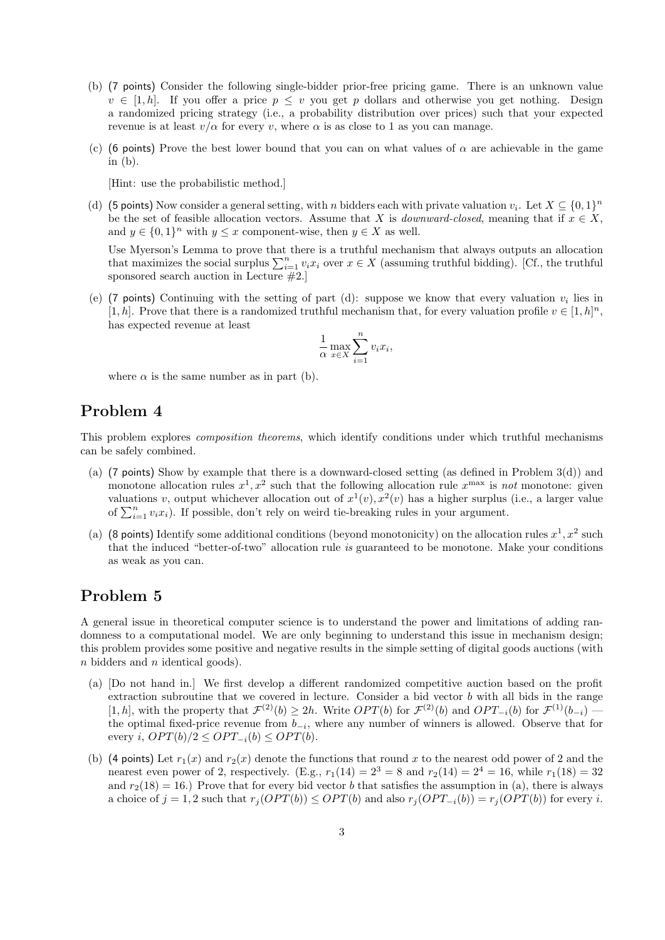- (b) (7 points) Consider the following single-bidder prior-free pricing game. There is an unknown value  $v \in [1, h]$ . If you offer a price  $p \leq v$  you get p dollars and otherwise you get nothing. Design a randomized pricing strategy (i.e., a probability distribution over prices) such that your expected revenue is at least  $v/\alpha$  for every v, where  $\alpha$  is as close to 1 as you can manage.
- (c) (6 points) Prove the best lower bound that you can on what values of  $\alpha$  are achievable in the game in (b).

[Hint: use the probabilistic method.]

(d) (5 points) Now consider a general setting, with n bidders each with private valuation  $v_i$ . Let  $X \subseteq \{0,1\}^n$ be the set of feasible allocation vectors. Assume that X is *downward-closed*, meaning that if  $x \in X$ , and  $y \in \{0,1\}^n$  with  $y \leq x$  component-wise, then  $y \in X$  as well.

Use Myerson's Lemma to prove that there is a truthful mechanism that always outputs an allocation that maximizes the social surplus  $\sum_{i=1}^{n} v_i x_i$  over  $x \in X$  (assuming truthful bidding). [Cf., the truthful sponsored search auction in Lecture #2.]

(e) (7 points) Continuing with the setting of part (d): suppose we know that every valuation  $v_i$  lies in [1, h]. Prove that there is a randomized truthful mechanism that, for every valuation profile  $v \in [1, h]^n$ , has expected revenue at least

$$
\frac{1}{\alpha} \max_{x \in X} \sum_{i=1}^{n} v_i x_i,
$$

where  $\alpha$  is the same number as in part (b).

## Problem 4

This problem explores composition theorems, which identify conditions under which truthful mechanisms can be safely combined.

- (a) (7 points) Show by example that there is a downward-closed setting (as defined in Problem 3(d)) and monotone allocation rules  $x^1, x^2$  such that the following allocation rule  $x^{\text{max}}$  is not monotone: given valuations v, output whichever allocation out of  $x^1(v)$ ,  $x^2(v)$  has a higher surplus (i.e., a larger value of  $\sum_{i=1}^{n} v_i x_i$ ). If possible, don't rely on weird tie-breaking rules in your argument.
- (a) (8 points) Identify some additional conditions (beyond monotonicity) on the allocation rules  $x^1, x^2$  such that the induced "better-of-two" allocation rule is guaranteed to be monotone. Make your conditions as weak as you can.

### Problem 5

A general issue in theoretical computer science is to understand the power and limitations of adding randomness to a computational model. We are only beginning to understand this issue in mechanism design; this problem provides some positive and negative results in the simple setting of digital goods auctions (with n bidders and n identical goods).

- (a) [Do not hand in.] We first develop a different randomized competitive auction based on the profit extraction subroutine that we covered in lecture. Consider a bid vector  $b$  with all bids in the range [1, h], with the property that  $\mathcal{F}^{(2)}(b) \geq 2h$ . Write  $OPT(b)$  for  $\mathcal{F}^{(2)}(b)$  and  $OPT_{-i}(b)$  for  $\mathcal{F}^{(1)}(b_{-i})$ the optimal fixed-price revenue from  $b_{-i}$ , where any number of winners is allowed. Observe that for every i,  $OPT(b)/2 \leq OPT_{-i}(b) \leq OPT(b)$ .
- (b) (4 points) Let  $r_1(x)$  and  $r_2(x)$  denote the functions that round x to the nearest odd power of 2 and the nearest even power of 2, respectively. (E.g.,  $r_1(14) = 2^3 = 8$  and  $r_2(14) = 2^4 = 16$ , while  $r_1(18) = 32$ and  $r_2(18) = 16$ .) Prove that for every bid vector b that satisfies the assumption in (a), there is always a choice of  $j = 1, 2$  such that  $r_j(OPT(b)) \leq OPT(b)$  and also  $r_j(OPT_{-i}(b)) = r_j(OPT(b))$  for every i.